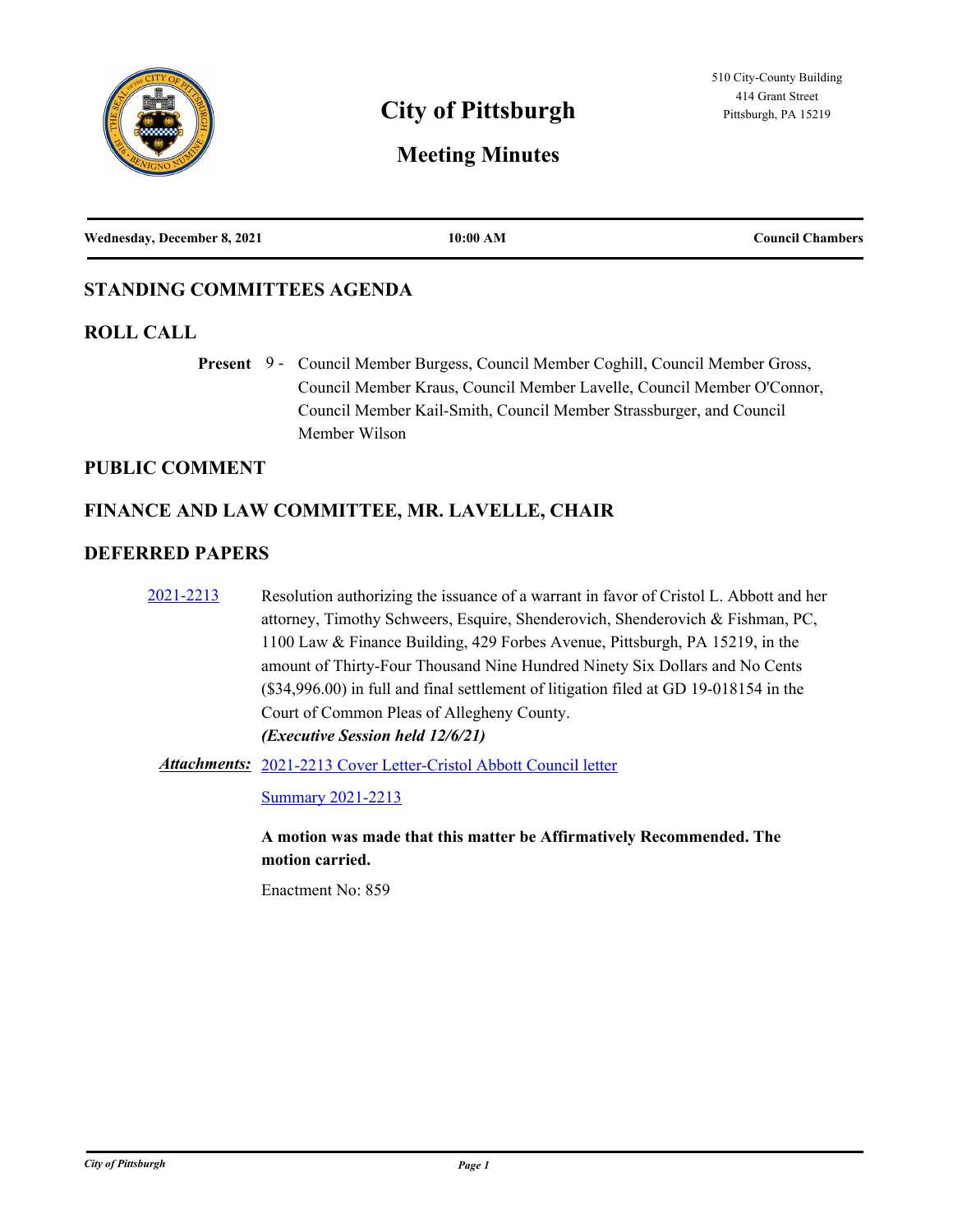

# **City of Pittsburgh** Pittsburgh, PA 15219

# **Meeting Minutes**

| Wednesday, December 8, 2021 | 10:00 AM | <b>Council Chambers</b> |
|-----------------------------|----------|-------------------------|
|                             |          |                         |

### **STANDING COMMITTEES AGENDA**

### **ROLL CALL**

Present 9 - Council Member Burgess, Council Member Coghill, Council Member Gross, Council Member Kraus, Council Member Lavelle, Council Member O'Connor, Council Member Kail-Smith, Council Member Strassburger, and Council Member Wilson

### **PUBLIC COMMENT**

### **FINANCE AND LAW COMMITTEE, MR. LAVELLE, CHAIR**

### **DEFERRED PAPERS**

| 2021-2213 | Resolution authorizing the issuance of a warrant in favor of Cristol L. Abbott and her  |
|-----------|-----------------------------------------------------------------------------------------|
|           | attorney, Timothy Schweers, Esquire, Shenderovich, Shenderovich & Fishman, PC,          |
|           | 1100 Law & Finance Building, 429 Forbes Avenue, Pittsburgh, PA 15219, in the            |
|           | amount of Thirty-Four Thousand Nine Hundred Ninety Six Dollars and No Cents             |
|           | (\$34,996.00) in full and final settlement of litigation filed at GD 19-018154 in the   |
|           | Court of Common Pleas of Allegheny County.                                              |
|           | <i>(Executive Session held 12/6/21)</i>                                                 |
|           | <b>Attachments:</b> 2021-2213 Cover Letter-Cristol Abbott Council letter                |
|           | <b>Summary 2021-2213</b>                                                                |
|           | A motion was made that this matter be Affirmatively Recommended. The<br>motion carried. |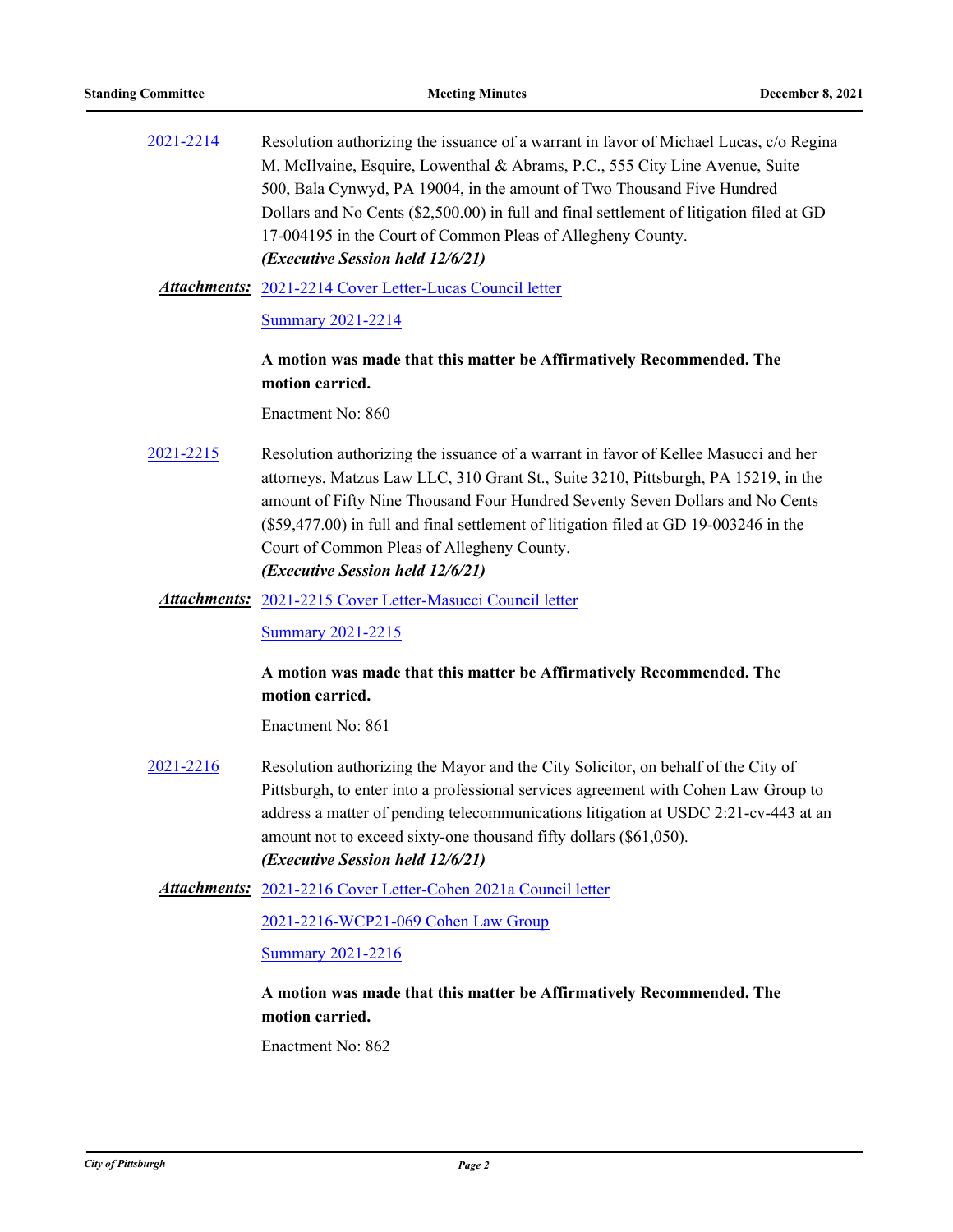[2021-2214](http://pittsburgh.legistar.com/gateway.aspx?m=l&id=/matter.aspx?key=27116) Resolution authorizing the issuance of a warrant in favor of Michael Lucas, c/o Regina M. McIlvaine, Esquire, Lowenthal & Abrams, P.C., 555 City Line Avenue, Suite 500, Bala Cynwyd, PA 19004, in the amount of Two Thousand Five Hundred Dollars and No Cents (\$2,500.00) in full and final settlement of litigation filed at GD 17-004195 in the Court of Common Pleas of Allegheny County. *(Executive Session held 12/6/21)*

[2021-2214 Cover Letter-Lucas Council letter](http://pittsburgh.legistar.com/gateway.aspx?M=F&ID=bc5470a9-5fea-4e59-9b2b-870451910a0e.docx) *Attachments:*

[Summary 2021-2214](http://pittsburgh.legistar.com/gateway.aspx?M=F&ID=fdddb730-9636-4953-a1d1-5656558b128f.docx)

### **A motion was made that this matter be Affirmatively Recommended. The motion carried.**

Enactment No: 860

- [2021-2215](http://pittsburgh.legistar.com/gateway.aspx?m=l&id=/matter.aspx?key=27117) Resolution authorizing the issuance of a warrant in favor of Kellee Masucci and her attorneys, Matzus Law LLC, 310 Grant St., Suite 3210, Pittsburgh, PA 15219, in the amount of Fifty Nine Thousand Four Hundred Seventy Seven Dollars and No Cents (\$59,477.00) in full and final settlement of litigation filed at GD 19-003246 in the Court of Common Pleas of Allegheny County. *(Executive Session held 12/6/21)*
	- [2021-2215 Cover Letter-Masucci Council letter](http://pittsburgh.legistar.com/gateway.aspx?M=F&ID=26d636d5-c50c-40e9-94f8-f017a0bf7344.docx) *Attachments:*

**[Summary 2021-2215](http://pittsburgh.legistar.com/gateway.aspx?M=F&ID=69773f59-ed36-4ec5-bdab-dfa30f5a0432.docx)** 

### **A motion was made that this matter be Affirmatively Recommended. The motion carried.**

Enactment No: 861

- [2021-2216](http://pittsburgh.legistar.com/gateway.aspx?m=l&id=/matter.aspx?key=27118) Resolution authorizing the Mayor and the City Solicitor, on behalf of the City of Pittsburgh, to enter into a professional services agreement with Cohen Law Group to address a matter of pending telecommunications litigation at USDC 2:21-cv-443 at an amount not to exceed sixty-one thousand fifty dollars (\$61,050). *(Executive Session held 12/6/21)*
	- Attachments: [2021-2216 Cover Letter-Cohen 2021a Council letter](http://pittsburgh.legistar.com/gateway.aspx?M=F&ID=a2965b7b-ff5c-48fc-8252-9a94ffbb9a20.docx)

[2021-2216-WCP21-069 Cohen Law Group](http://pittsburgh.legistar.com/gateway.aspx?M=F&ID=a27a59d8-76b3-4f0a-865e-1b0eedd91641.pdf)

[Summary 2021-2216](http://pittsburgh.legistar.com/gateway.aspx?M=F&ID=2d16fe3b-a8e4-4df7-88ac-475e244c0d2a.docx)

### **A motion was made that this matter be Affirmatively Recommended. The motion carried.**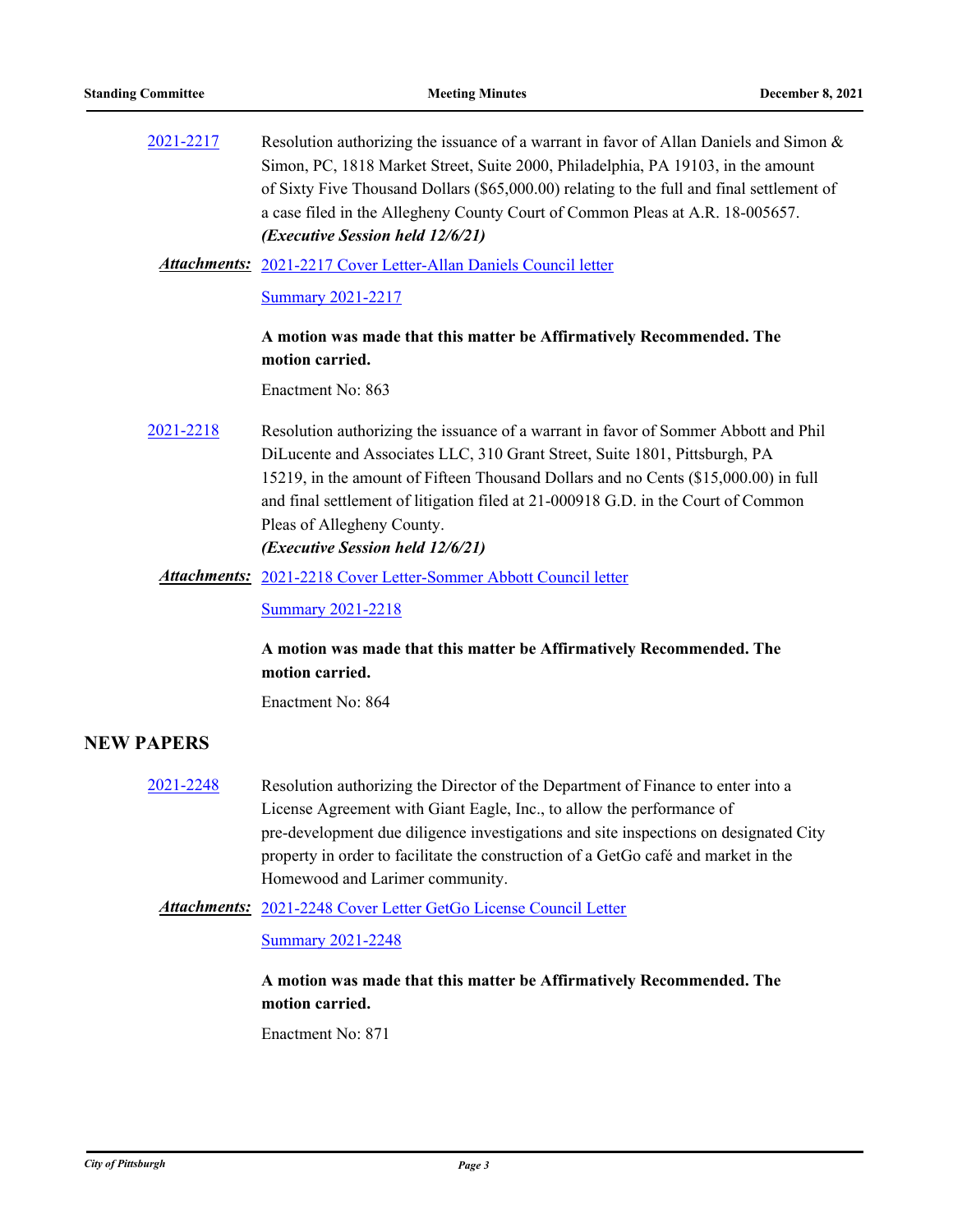| 2021-2217 | Resolution authorizing the issuance of a warrant in favor of Allan Daniels and Simon &<br>Simon, PC, 1818 Market Street, Suite 2000, Philadelphia, PA 19103, in the amount<br>of Sixty Five Thousand Dollars (\$65,000.00) relating to the full and final settlement of<br>a case filed in the Allegheny County Court of Common Pleas at A.R. 18-005657.<br>(Executive Session held 12/6/21) |
|-----------|----------------------------------------------------------------------------------------------------------------------------------------------------------------------------------------------------------------------------------------------------------------------------------------------------------------------------------------------------------------------------------------------|
|           | <b>Attachments:</b> 2021-2217 Cover Letter-Allan Daniels Council letter                                                                                                                                                                                                                                                                                                                      |
|           | <b>Summary 2021-2217</b>                                                                                                                                                                                                                                                                                                                                                                     |
|           | A motion was made that this matter be Affirmatively Recommended. The                                                                                                                                                                                                                                                                                                                         |
|           | motion carried.                                                                                                                                                                                                                                                                                                                                                                              |
|           | Enactment No: 863                                                                                                                                                                                                                                                                                                                                                                            |
| 2021-2218 | Resolution authorizing the issuance of a warrant in favor of Sommer Abbott and Phil<br>DiLucente and Associates LLC, 310 Grant Street, Suite 1801, Pittsburgh, PA                                                                                                                                                                                                                            |
|           | 15219, in the amount of Fifteen Thousand Dollars and no Cents (\$15,000.00) in full                                                                                                                                                                                                                                                                                                          |
|           | and final settlement of litigation filed at 21-000918 G.D. in the Court of Common                                                                                                                                                                                                                                                                                                            |
|           | Pleas of Allegheny County.                                                                                                                                                                                                                                                                                                                                                                   |
|           | (Executive Session held 12/6/21)                                                                                                                                                                                                                                                                                                                                                             |
|           | <b>Attachments:</b> 2021-2218 Cover Letter-Sommer Abbott Council letter                                                                                                                                                                                                                                                                                                                      |
|           | <b>Summary 2021-2218</b>                                                                                                                                                                                                                                                                                                                                                                     |
|           |                                                                                                                                                                                                                                                                                                                                                                                              |

### **A motion was made that this matter be Affirmatively Recommended. The motion carried.**

Enactment No: 864

### **NEW PAPERS**

[2021-2248](http://pittsburgh.legistar.com/gateway.aspx?m=l&id=/matter.aspx?key=27150) Resolution authorizing the Director of the Department of Finance to enter into a License Agreement with Giant Eagle, Inc., to allow the performance of pre-development due diligence investigations and site inspections on designated City property in order to facilitate the construction of a GetGo café and market in the Homewood and Larimer community.

#### [2021-2248 Cover Letter GetGo License Council Letter](http://pittsburgh.legistar.com/gateway.aspx?M=F&ID=b572b28c-8d25-43ec-8719-42b08823cea6.docx) *Attachments:*

#### **[Summary 2021-2248](http://pittsburgh.legistar.com/gateway.aspx?M=F&ID=a8acdebd-30a9-42d1-b784-aebed8d87a63.docx)**

### **A motion was made that this matter be Affirmatively Recommended. The motion carried.**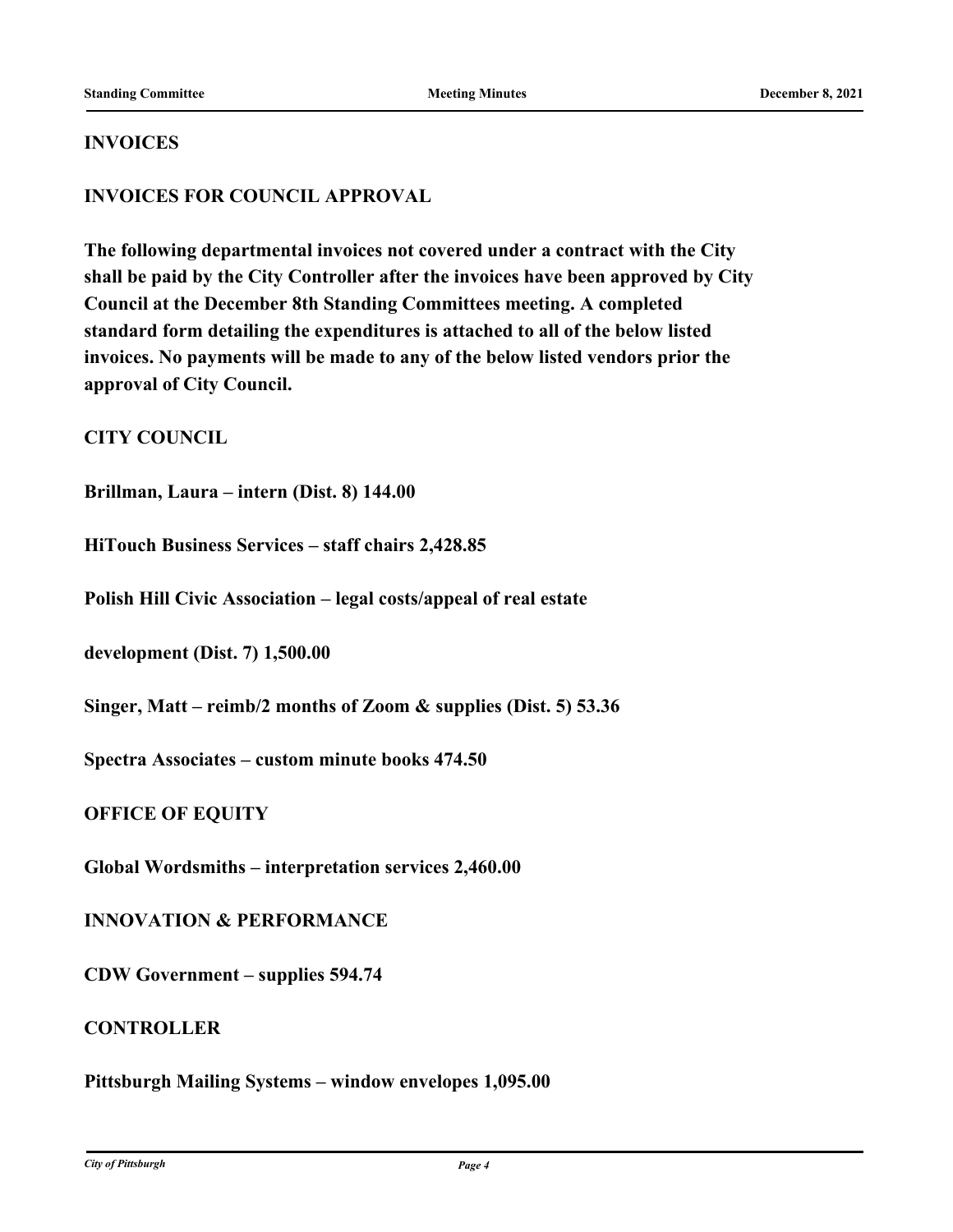### **INVOICES**

### **INVOICES FOR COUNCIL APPROVAL**

**The following departmental invoices not covered under a contract with the City shall be paid by the City Controller after the invoices have been approved by City Council at the December 8th Standing Committees meeting. A completed standard form detailing the expenditures is attached to all of the below listed invoices. No payments will be made to any of the below listed vendors prior the approval of City Council.**

**CITY COUNCIL**

**Brillman, Laura – intern (Dist. 8) 144.00**

**HiTouch Business Services – staff chairs 2,428.85**

**Polish Hill Civic Association – legal costs/appeal of real estate**

**development (Dist. 7) 1,500.00**

**Singer, Matt – reimb/2 months of Zoom & supplies (Dist. 5) 53.36**

**Spectra Associates – custom minute books 474.50**

**OFFICE OF EQUITY**

**Global Wordsmiths – interpretation services 2,460.00**

**INNOVATION & PERFORMANCE**

**CDW Government – supplies 594.74**

**CONTROLLER**

**Pittsburgh Mailing Systems – window envelopes 1,095.00**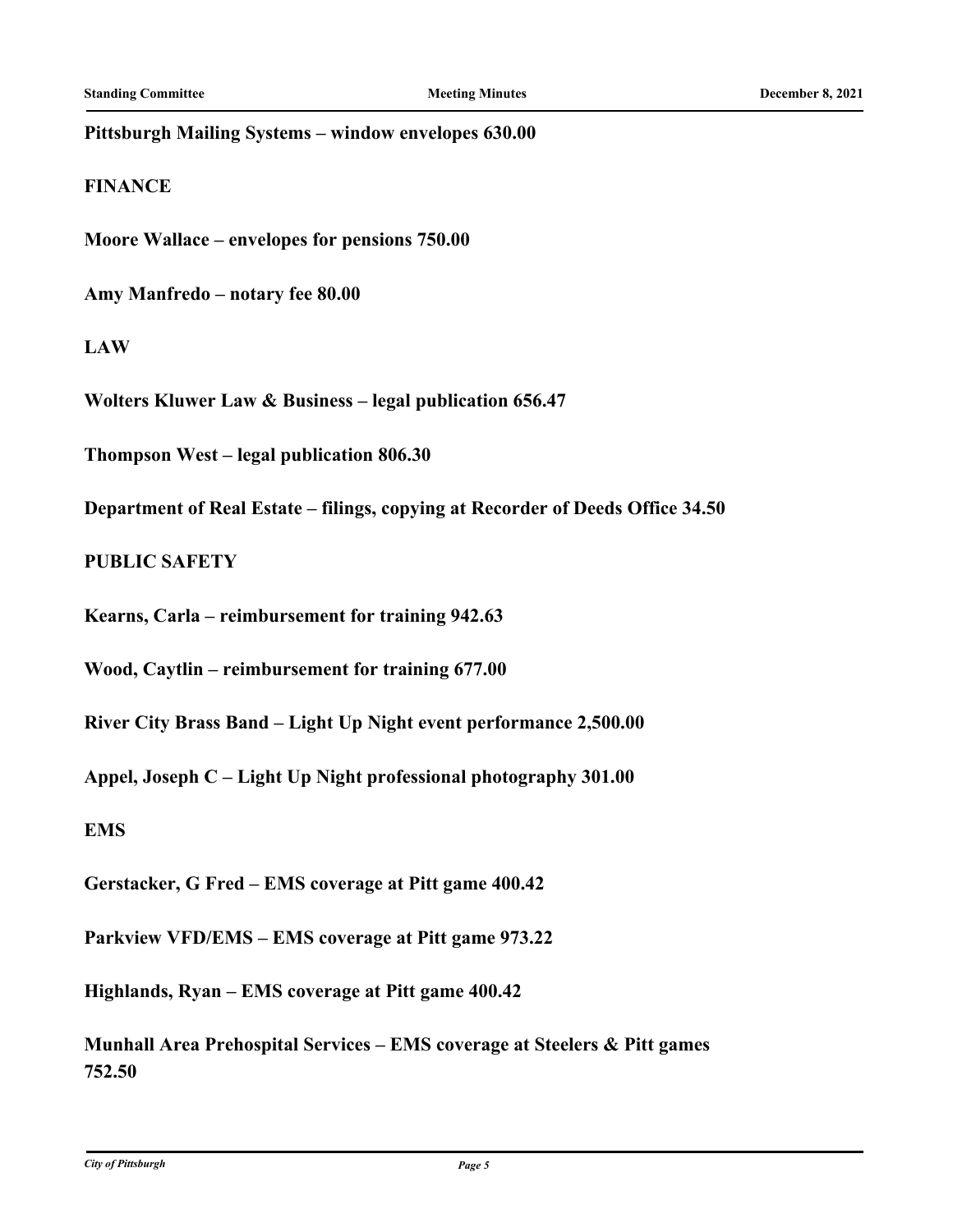#### **Pittsburgh Mailing Systems – window envelopes 630.00**

#### **FINANCE**

**Moore Wallace – envelopes for pensions 750.00**

**Amy Manfredo – notary fee 80.00**

### **LAW**

**Wolters Kluwer Law & Business – legal publication 656.47**

**Thompson West – legal publication 806.30**

**Department of Real Estate – filings, copying at Recorder of Deeds Office 34.50**

### **PUBLIC SAFETY**

**Kearns, Carla – reimbursement for training 942.63**

**Wood, Caytlin – reimbursement for training 677.00**

**River City Brass Band – Light Up Night event performance 2,500.00**

**Appel, Joseph C – Light Up Night professional photography 301.00**

**EMS**

**Gerstacker, G Fred – EMS coverage at Pitt game 400.42**

**Parkview VFD/EMS – EMS coverage at Pitt game 973.22**

**Highlands, Ryan – EMS coverage at Pitt game 400.42**

**Munhall Area Prehospital Services – EMS coverage at Steelers & Pitt games 752.50**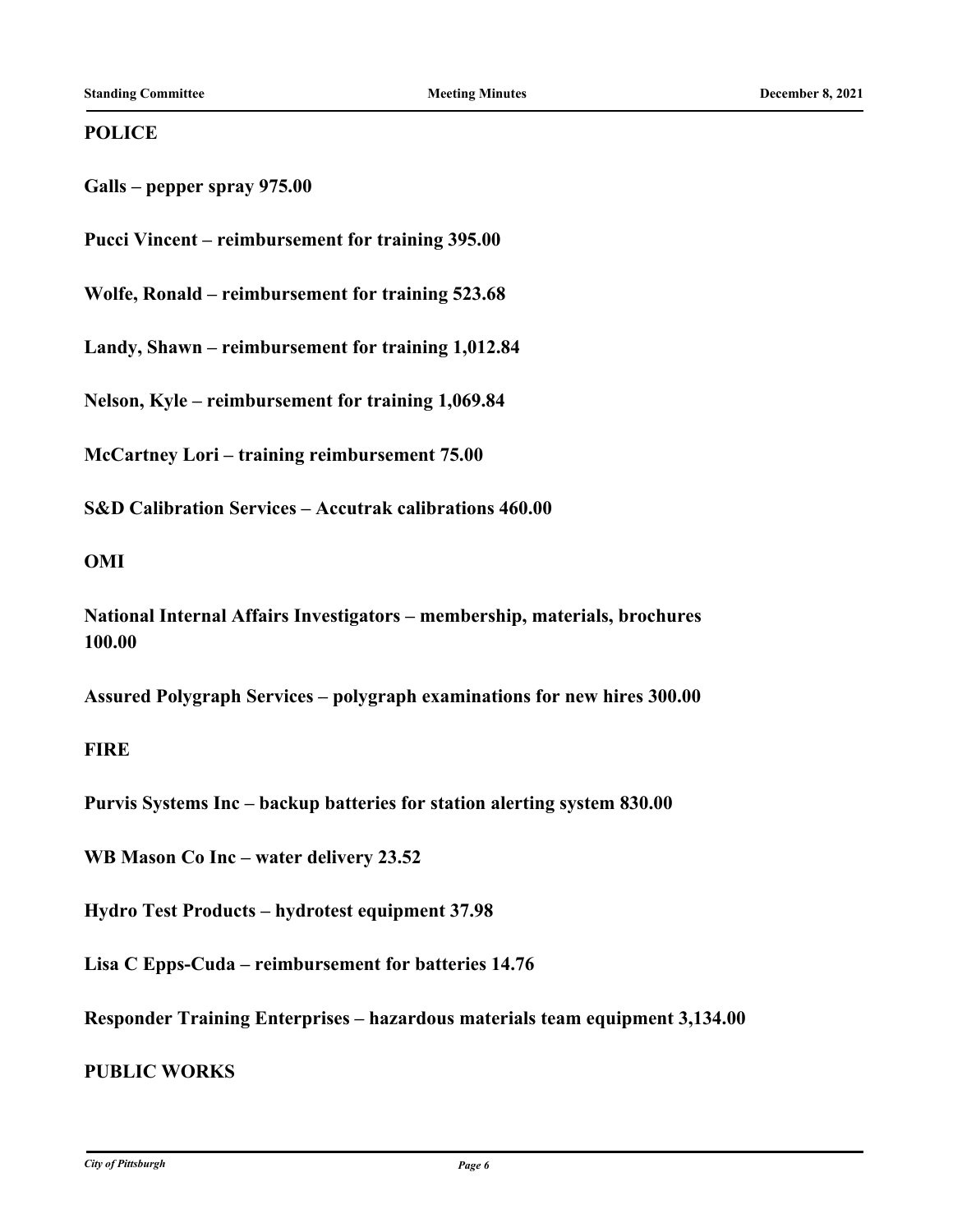### **POLICE**

**Galls – pepper spray 975.00**

**Pucci Vincent – reimbursement for training 395.00**

**Wolfe, Ronald – reimbursement for training 523.68**

**Landy, Shawn – reimbursement for training 1,012.84**

**Nelson, Kyle – reimbursement for training 1,069.84**

**McCartney Lori – training reimbursement 75.00**

**S&D Calibration Services – Accutrak calibrations 460.00**

### **OMI**

**National Internal Affairs Investigators – membership, materials, brochures 100.00**

**Assured Polygraph Services – polygraph examinations for new hires 300.00**

### **FIRE**

**Purvis Systems Inc – backup batteries for station alerting system 830.00**

**WB Mason Co Inc – water delivery 23.52**

**Hydro Test Products – hydrotest equipment 37.98**

**Lisa C Epps-Cuda – reimbursement for batteries 14.76**

**Responder Training Enterprises – hazardous materials team equipment 3,134.00**

### **PUBLIC WORKS**

*City of Pittsburgh Page 6*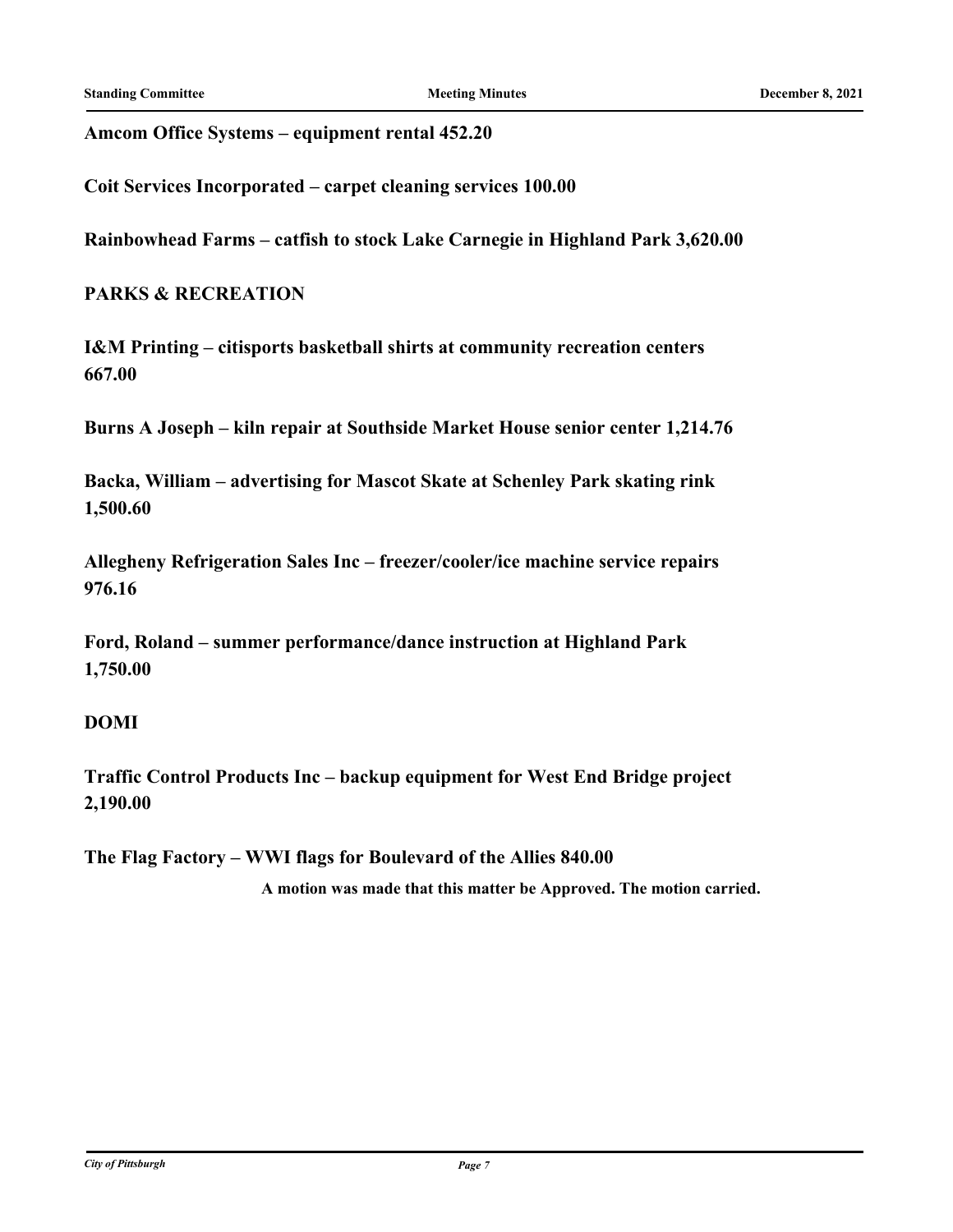**Amcom Office Systems – equipment rental 452.20**

**Coit Services Incorporated – carpet cleaning services 100.00**

**Rainbowhead Farms – catfish to stock Lake Carnegie in Highland Park 3,620.00**

### **PARKS & RECREATION**

**I&M Printing – citisports basketball shirts at community recreation centers 667.00**

**Burns A Joseph – kiln repair at Southside Market House senior center 1,214.76**

**Backa, William – advertising for Mascot Skate at Schenley Park skating rink 1,500.60**

**Allegheny Refrigeration Sales Inc – freezer/cooler/ice machine service repairs 976.16**

**Ford, Roland – summer performance/dance instruction at Highland Park 1,750.00**

### **DOMI**

**Traffic Control Products Inc – backup equipment for West End Bridge project 2,190.00**

**The Flag Factory – WWI flags for Boulevard of the Allies 840.00**

**A motion was made that this matter be Approved. The motion carried.**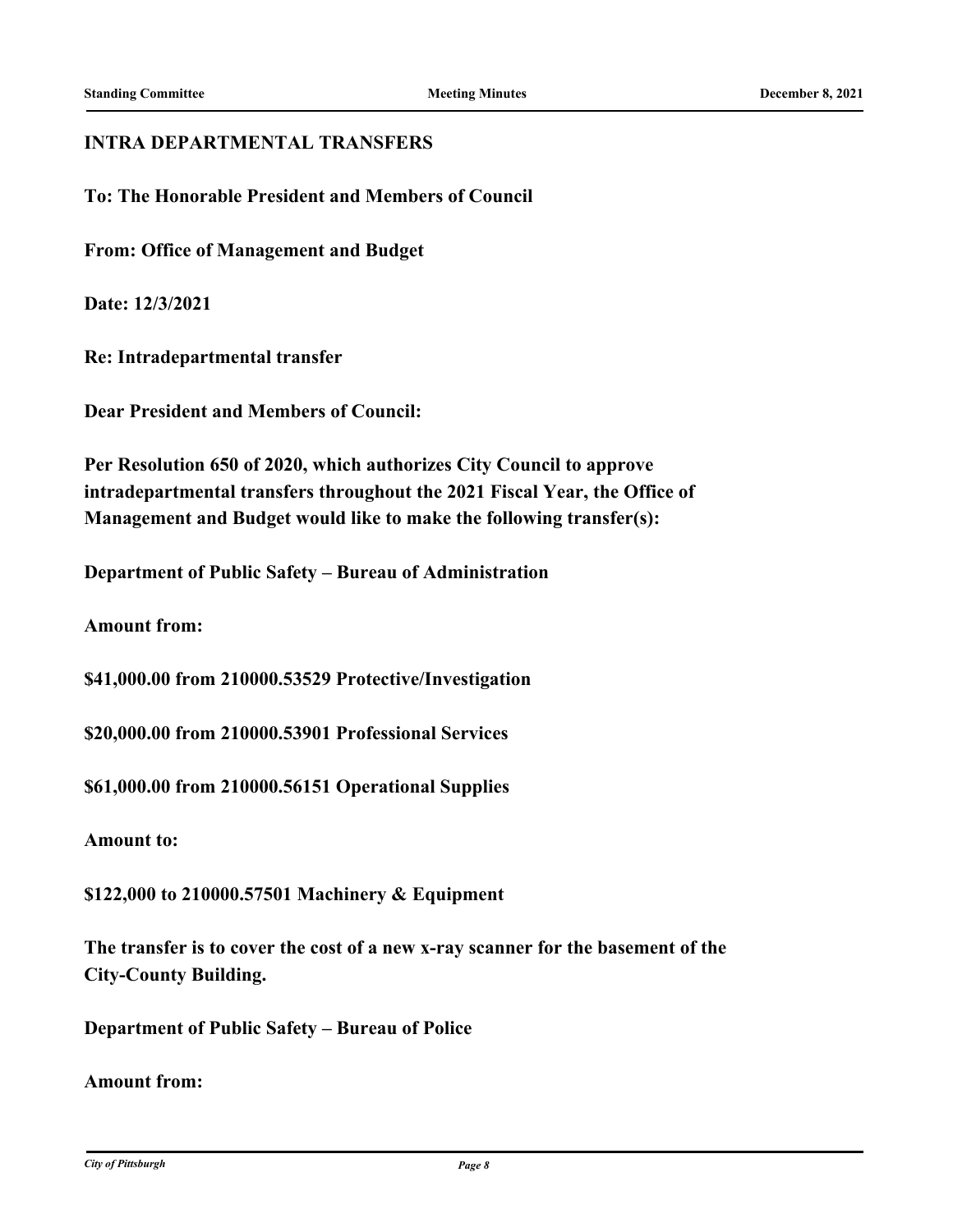### **INTRA DEPARTMENTAL TRANSFERS**

**To: The Honorable President and Members of Council**

**From: Office of Management and Budget**

**Date: 12/3/2021**

**Re: Intradepartmental transfer**

**Dear President and Members of Council:**

**Per Resolution 650 of 2020, which authorizes City Council to approve intradepartmental transfers throughout the 2021 Fiscal Year, the Office of Management and Budget would like to make the following transfer(s):**

**Department of Public Safety – Bureau of Administration**

**Amount from:**

**\$41,000.00 from 210000.53529 Protective/Investigation**

**\$20,000.00 from 210000.53901 Professional Services**

**\$61,000.00 from 210000.56151 Operational Supplies**

**Amount to:**

**\$122,000 to 210000.57501 Machinery & Equipment**

**The transfer is to cover the cost of a new x-ray scanner for the basement of the City-County Building.**

**Department of Public Safety – Bureau of Police**

**Amount from:**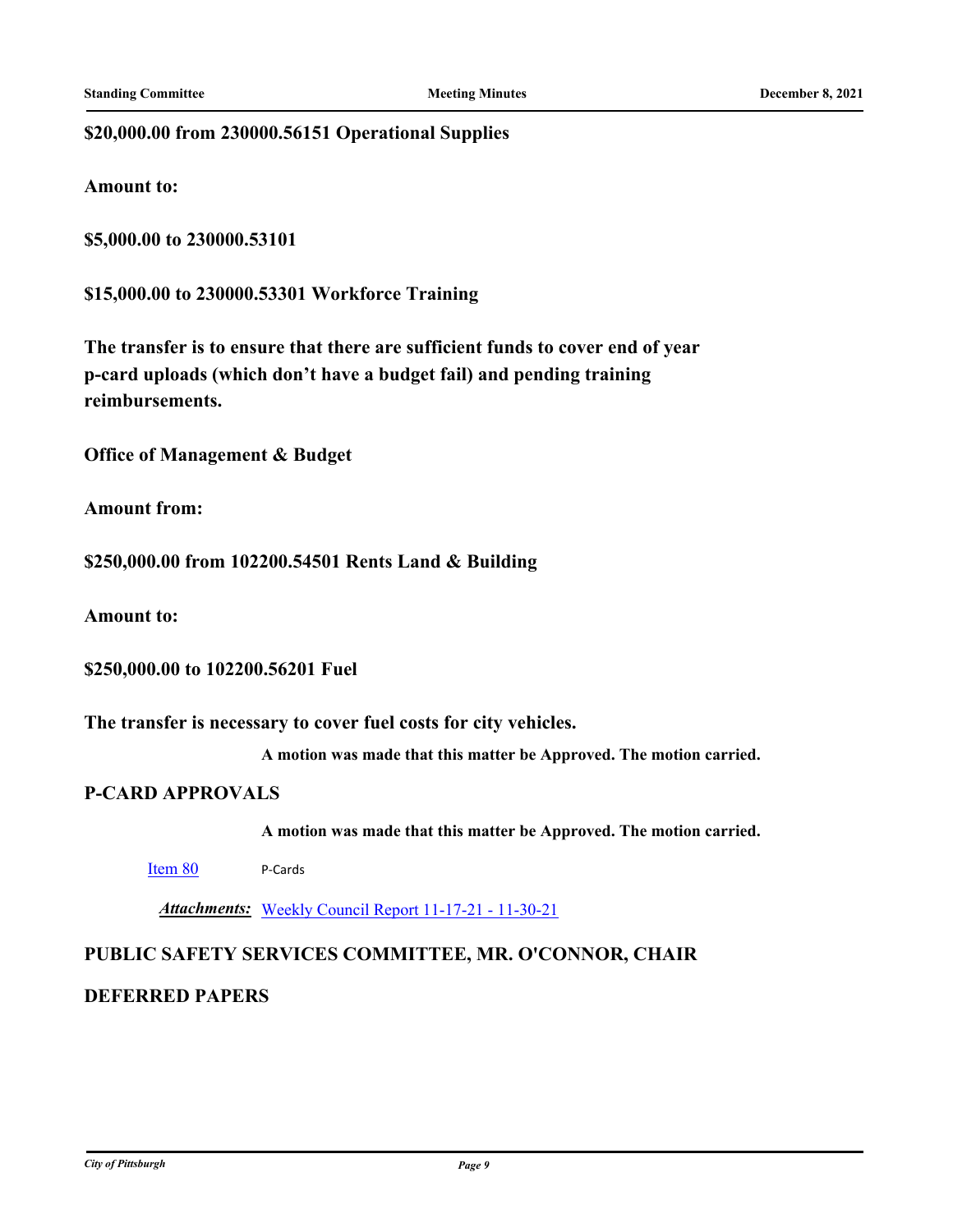### **\$20,000.00 from 230000.56151 Operational Supplies**

**Amount to:**

**\$5,000.00 to 230000.53101**

**\$15,000.00 to 230000.53301 Workforce Training**

**The transfer is to ensure that there are sufficient funds to cover end of year p-card uploads (which don't have a budget fail) and pending training reimbursements.**

**Office of Management & Budget**

**Amount from:**

**\$250,000.00 from 102200.54501 Rents Land & Building**

**Amount to:**

**\$250,000.00 to 102200.56201 Fuel**

**The transfer is necessary to cover fuel costs for city vehicles.**

**A motion was made that this matter be Approved. The motion carried.**

#### **P-CARD APPROVALS**

**A motion was made that this matter be Approved. The motion carried.**

[Item 80](http://pittsburgh.legistar.com/gateway.aspx?m=l&id=/matter.aspx?key=27192) P-Cards

*Attachments:* [Weekly Council Report 11-17-21 - 11-30-21](http://pittsburgh.legistar.com/gateway.aspx?M=F&ID=9f296800-b3a3-4b0c-87c9-cbbd84d32d25.xlsx)

### **PUBLIC SAFETY SERVICES COMMITTEE, MR. O'CONNOR, CHAIR**

### **DEFERRED PAPERS**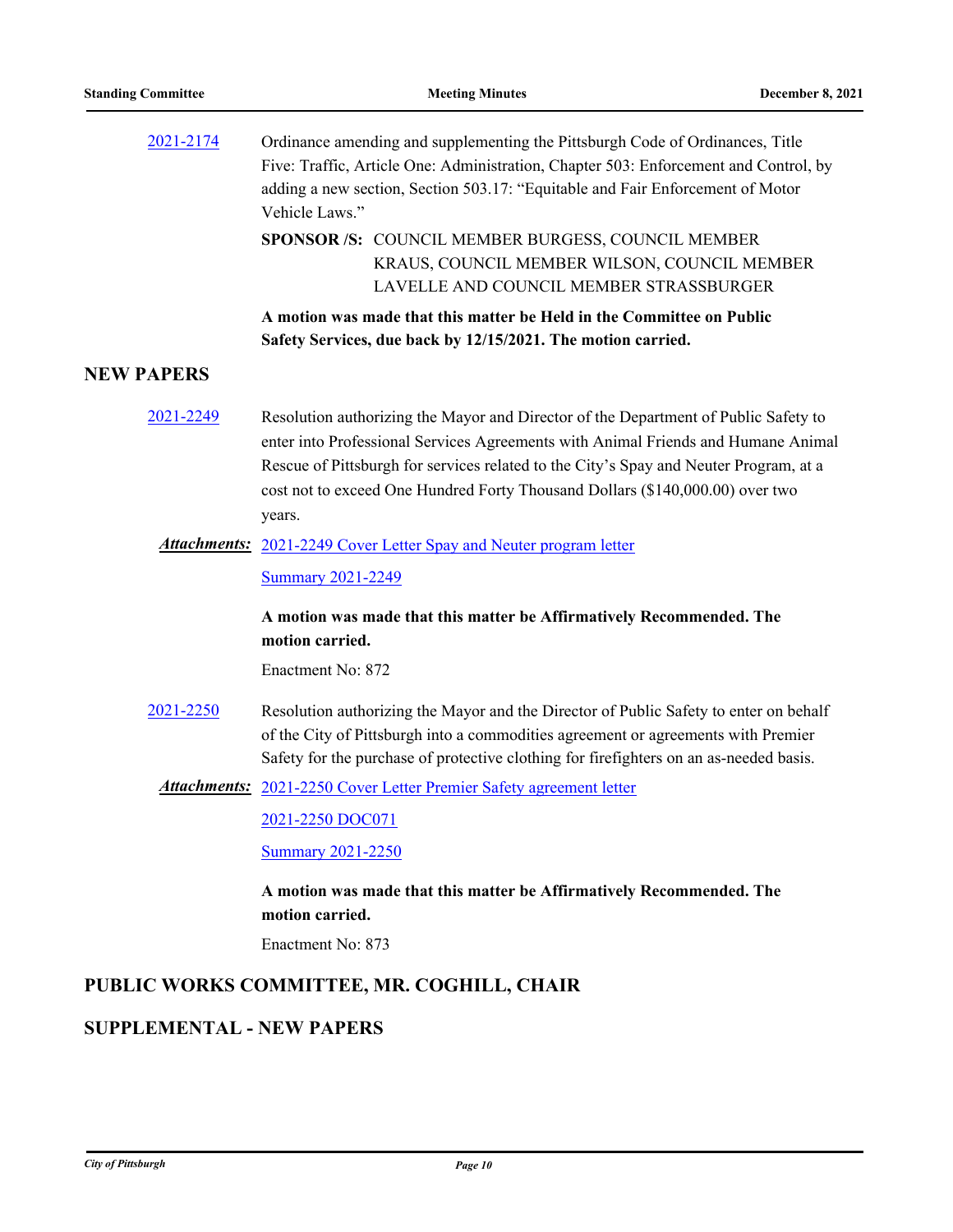| 2021-2174                        | Ordinance amending and supplementing the Pittsburgh Code of Ordinances, Title<br>Five: Traffic, Article One: Administration, Chapter 503: Enforcement and Control, by<br>adding a new section, Section 503.17: "Equitable and Fair Enforcement of Motor<br>Vehicle Laws."                                                                                    |
|----------------------------------|--------------------------------------------------------------------------------------------------------------------------------------------------------------------------------------------------------------------------------------------------------------------------------------------------------------------------------------------------------------|
|                                  | SPONSOR /S: COUNCIL MEMBER BURGESS, COUNCIL MEMBER<br>KRAUS, COUNCIL MEMBER WILSON, COUNCIL MEMBER<br>LAVELLE AND COUNCIL MEMBER STRASSBURGER                                                                                                                                                                                                                |
|                                  | A motion was made that this matter be Held in the Committee on Public<br>Safety Services, due back by 12/15/2021. The motion carried.                                                                                                                                                                                                                        |
| <b>NEW PAPERS</b>                |                                                                                                                                                                                                                                                                                                                                                              |
| 2021-2249                        | Resolution authorizing the Mayor and Director of the Department of Public Safety to<br>enter into Professional Services Agreements with Animal Friends and Humane Animal<br>Rescue of Pittsburgh for services related to the City's Spay and Neuter Program, at a<br>cost not to exceed One Hundred Forty Thousand Dollars (\$140,000.00) over two<br>years. |
|                                  | <b>Attachments:</b> 2021-2249 Cover Letter Spay and Neuter program letter                                                                                                                                                                                                                                                                                    |
|                                  | <b>Summary 2021-2249</b>                                                                                                                                                                                                                                                                                                                                     |
|                                  | A motion was made that this matter be Affirmatively Recommended. The<br>motion carried.                                                                                                                                                                                                                                                                      |
|                                  | Enactment No: 872                                                                                                                                                                                                                                                                                                                                            |
| 2021-2250                        | Resolution authorizing the Mayor and the Director of Public Safety to enter on behalf<br>of the City of Pittsburgh into a commodities agreement or agreements with Premier<br>Safety for the purchase of protective clothing for firefighters on an as-needed basis.                                                                                         |
|                                  | <b>Attachments:</b> 2021-2250 Cover Letter Premier Safety agreement letter                                                                                                                                                                                                                                                                                   |
|                                  | 2021-2250 DOC071                                                                                                                                                                                                                                                                                                                                             |
|                                  | <b>Summary 2021-2250</b>                                                                                                                                                                                                                                                                                                                                     |
|                                  | A motion was made that this matter be Affirmatively Recommended. The<br>motion carried.                                                                                                                                                                                                                                                                      |
|                                  | Enactment No: 873                                                                                                                                                                                                                                                                                                                                            |
|                                  | PUBLIC WORKS COMMITTEE, MR. COGHILL, CHAIR                                                                                                                                                                                                                                                                                                                   |
| <b>SUPPLEMENTAL - NEW PAPERS</b> |                                                                                                                                                                                                                                                                                                                                                              |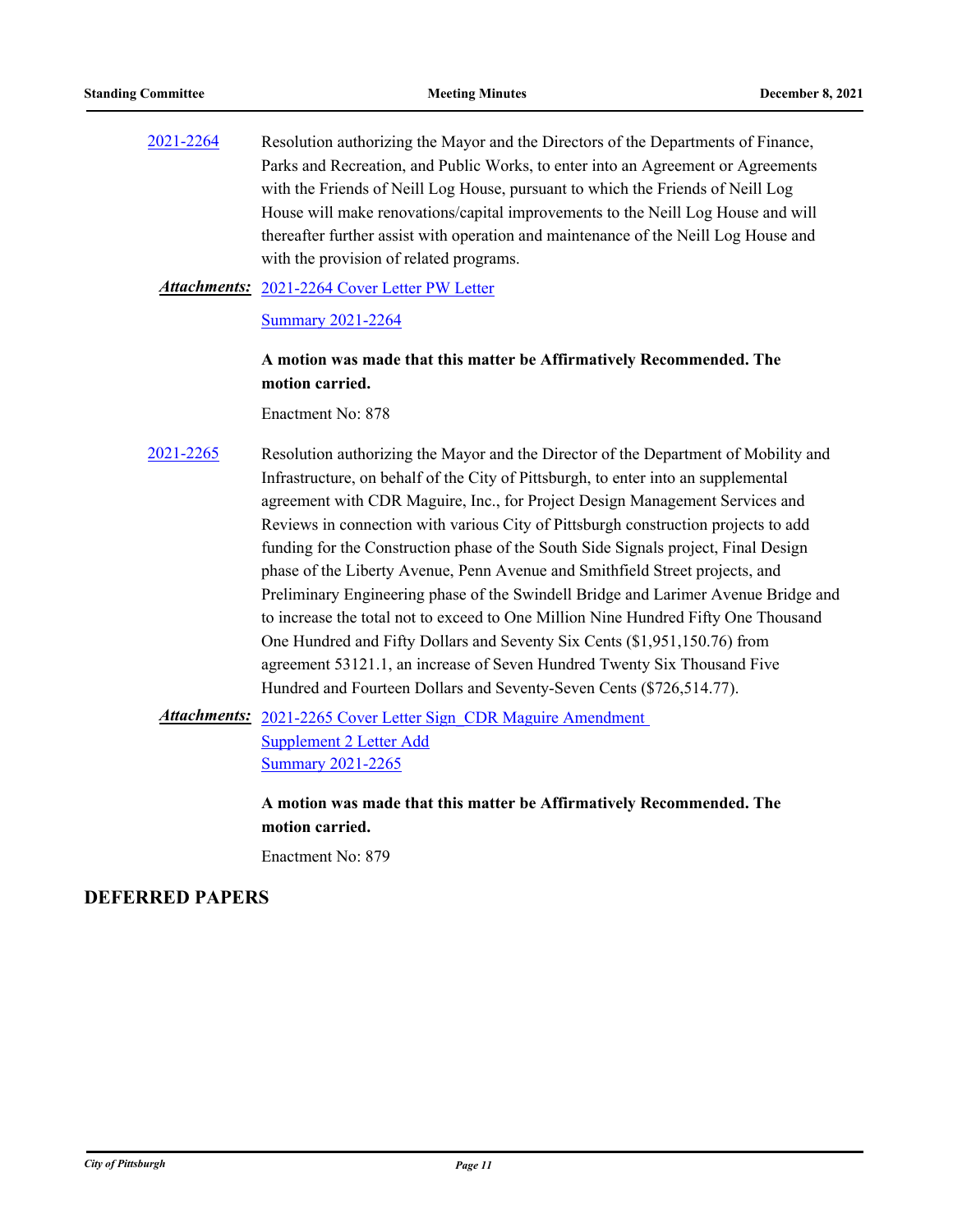[2021-2264](http://pittsburgh.legistar.com/gateway.aspx?m=l&id=/matter.aspx?key=27166) Resolution authorizing the Mayor and the Directors of the Departments of Finance, Parks and Recreation, and Public Works, to enter into an Agreement or Agreements with the Friends of Neill Log House, pursuant to which the Friends of Neill Log House will make renovations/capital improvements to the Neill Log House and will thereafter further assist with operation and maintenance of the Neill Log House and with the provision of related programs.

#### [2021-2264 Cover Letter PW Letter](http://pittsburgh.legistar.com/gateway.aspx?M=F&ID=e5a16621-031a-4be5-9cdd-8798cc579a18.PDF) *Attachments:*

#### [Summary 2021-2264](http://pittsburgh.legistar.com/gateway.aspx?M=F&ID=63d6d4b1-119c-43bb-8ced-efaffe763def.docx)

### **A motion was made that this matter be Affirmatively Recommended. The motion carried.**

Enactment No: 878

[2021-2265](http://pittsburgh.legistar.com/gateway.aspx?m=l&id=/matter.aspx?key=27167) Resolution authorizing the Mayor and the Director of the Department of Mobility and Infrastructure, on behalf of the City of Pittsburgh, to enter into an supplemental agreement with CDR Maguire, Inc., for Project Design Management Services and Reviews in connection with various City of Pittsburgh construction projects to add funding for the Construction phase of the South Side Signals project, Final Design phase of the Liberty Avenue, Penn Avenue and Smithfield Street projects, and Preliminary Engineering phase of the Swindell Bridge and Larimer Avenue Bridge and to increase the total not to exceed to One Million Nine Hundred Fifty One Thousand One Hundred and Fifty Dollars and Seventy Six Cents (\$1,951,150.76) from agreement 53121.1, an increase of Seven Hundred Twenty Six Thousand Five Hundred and Fourteen Dollars and Seventy-Seven Cents (\$726,514.77).

Attachments: 2021-2265 Cover Letter Sign CDR Maguire Amendment Supplement 2 Letter Add [Summary 2021-2265](http://pittsburgh.legistar.com/gateway.aspx?M=F&ID=00316ea2-9240-4b2b-b0e3-f7b13005edc5.docx)

> **A motion was made that this matter be Affirmatively Recommended. The motion carried.**

Enactment No: 879

#### **DEFERRED PAPERS**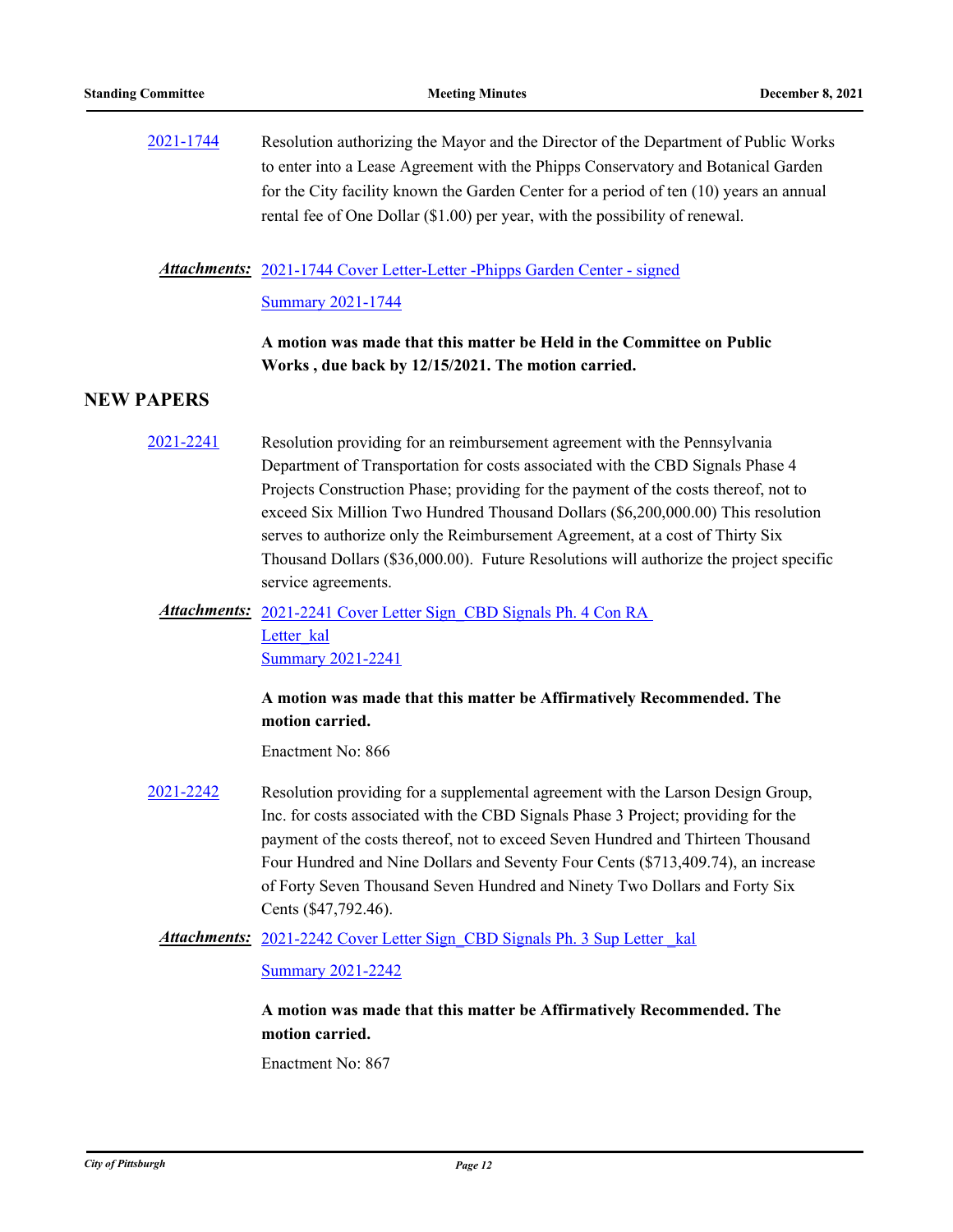[2021-1744](http://pittsburgh.legistar.com/gateway.aspx?m=l&id=/matter.aspx?key=26611) Resolution authorizing the Mayor and the Director of the Department of Public Works to enter into a Lease Agreement with the Phipps Conservatory and Botanical Garden for the City facility known the Garden Center for a period of ten (10) years an annual rental fee of One Dollar (\$1.00) per year, with the possibility of renewal.

Attachments: [2021-1744 Cover Letter-Letter -Phipps Garden Center - signed](http://pittsburgh.legistar.com/gateway.aspx?M=F&ID=46d1a619-9615-4836-8203-1da33da5987a.pdf)

[Summary 2021-1744](http://pittsburgh.legistar.com/gateway.aspx?M=F&ID=8f5a2ef3-7eec-4795-9300-988fdb4c09c0.docx)

**A motion was made that this matter be Held in the Committee on Public Works , due back by 12/15/2021. The motion carried.**

### **NEW PAPERS**

- [2021-2241](http://pittsburgh.legistar.com/gateway.aspx?m=l&id=/matter.aspx?key=27143) Resolution providing for an reimbursement agreement with the Pennsylvania Department of Transportation for costs associated with the CBD Signals Phase 4 Projects Construction Phase; providing for the payment of the costs thereof, not to exceed Six Million Two Hundred Thousand Dollars (\$6,200,000.00) This resolution serves to authorize only the Reimbursement Agreement, at a cost of Thirty Six Thousand Dollars (\$36,000.00). Future Resolutions will authorize the project specific service agreements.
	- Attachments: 2021-2241 Cover Letter Sign CBD Signals Ph. 4 Con RA Letter kal **[Summary 2021-2241](http://pittsburgh.legistar.com/gateway.aspx?M=F&ID=3a99cf54-d620-4c67-8f75-70eddbf0fcb6.docx)**

### **A motion was made that this matter be Affirmatively Recommended. The motion carried.**

Enactment No: 866

[2021-2242](http://pittsburgh.legistar.com/gateway.aspx?m=l&id=/matter.aspx?key=27144) Resolution providing for a supplemental agreement with the Larson Design Group, Inc. for costs associated with the CBD Signals Phase 3 Project; providing for the payment of the costs thereof, not to exceed Seven Hundred and Thirteen Thousand Four Hundred and Nine Dollars and Seventy Four Cents (\$713,409.74), an increase of Forty Seven Thousand Seven Hundred and Ninety Two Dollars and Forty Six Cents (\$47,792.46).

Attachments: 2021-2242 Cover Letter Sign\_CBD Signals Ph. 3 Sup Letter kal

[Summary 2021-2242](http://pittsburgh.legistar.com/gateway.aspx?M=F&ID=e86cbb46-74e0-466c-b750-611a2ff4893d.docx)

**A motion was made that this matter be Affirmatively Recommended. The motion carried.**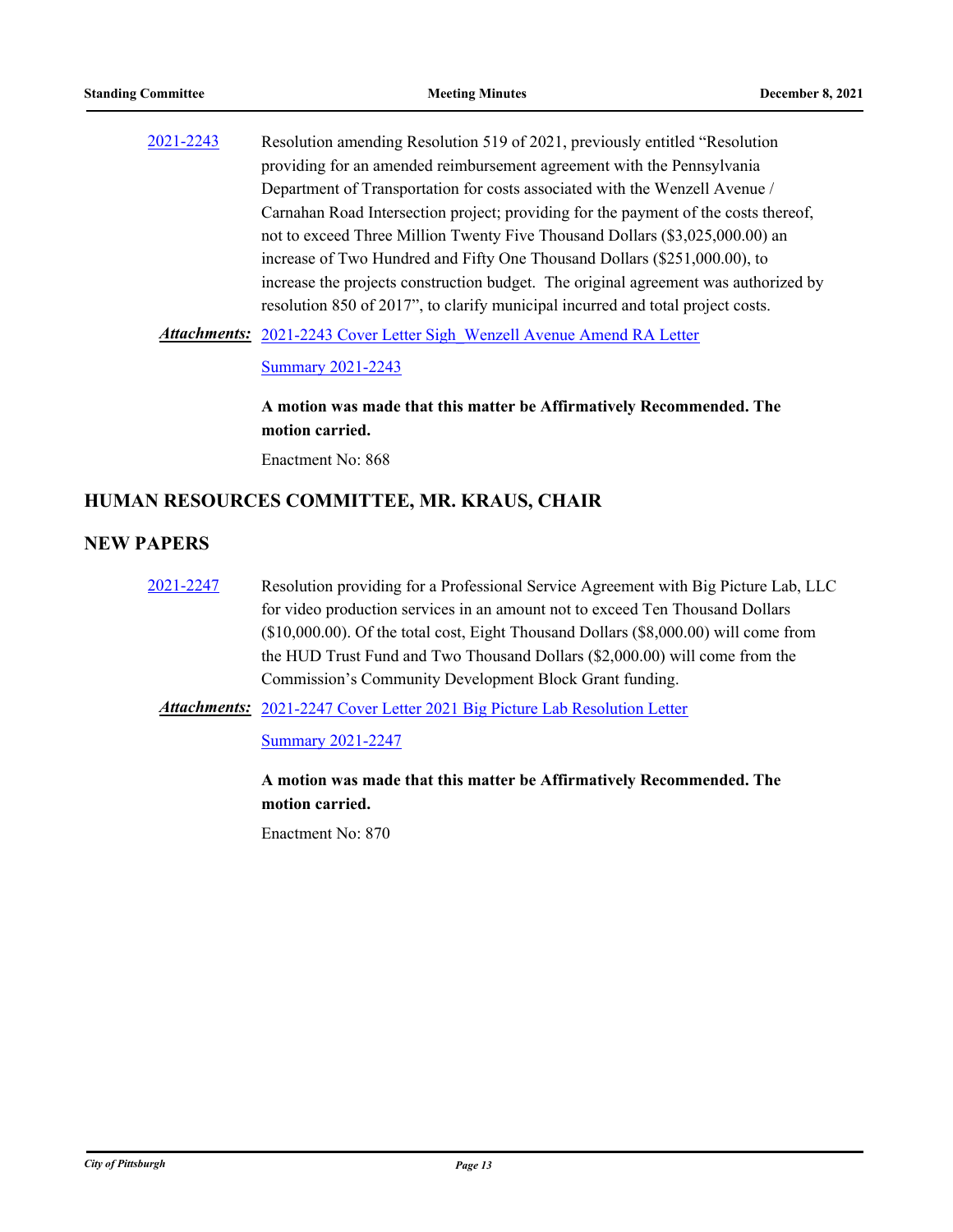[2021-2243](http://pittsburgh.legistar.com/gateway.aspx?m=l&id=/matter.aspx?key=27145) Resolution amending Resolution 519 of 2021, previously entitled "Resolution providing for an amended reimbursement agreement with the Pennsylvania Department of Transportation for costs associated with the Wenzell Avenue / Carnahan Road Intersection project; providing for the payment of the costs thereof, not to exceed Three Million Twenty Five Thousand Dollars (\$3,025,000.00) an increase of Two Hundred and Fifty One Thousand Dollars (\$251,000.00), to increase the projects construction budget. The original agreement was authorized by resolution 850 of 2017", to clarify municipal incurred and total project costs.

Attachments: [2021-2243 Cover Letter Sigh\\_Wenzell Avenue Amend RA Letter](http://pittsburgh.legistar.com/gateway.aspx?M=F&ID=c650dce8-7070-40c6-9f96-737896f6109a.pdf)

**[Summary 2021-2243](http://pittsburgh.legistar.com/gateway.aspx?M=F&ID=b3130ce4-bc8d-42a9-8a1c-b322b1a230a4.docx)** 

**A motion was made that this matter be Affirmatively Recommended. The motion carried.**

Enactment No: 868

### **HUMAN RESOURCES COMMITTEE, MR. KRAUS, CHAIR**

### **NEW PAPERS**

[2021-2247](http://pittsburgh.legistar.com/gateway.aspx?m=l&id=/matter.aspx?key=27149) Resolution providing for a Professional Service Agreement with Big Picture Lab, LLC for video production services in an amount not to exceed Ten Thousand Dollars (\$10,000.00). Of the total cost, Eight Thousand Dollars (\$8,000.00) will come from the HUD Trust Fund and Two Thousand Dollars (\$2,000.00) will come from the Commission's Community Development Block Grant funding.

Attachments: [2021-2247 Cover Letter 2021 Big Picture Lab Resolution Letter](http://pittsburgh.legistar.com/gateway.aspx?M=F&ID=e6d3729b-b27b-4659-8bac-00932b9c02b1.doc)

[Summary 2021-2247](http://pittsburgh.legistar.com/gateway.aspx?M=F&ID=bac959bc-e605-4d0e-83db-804609b5c70b.docx)

**A motion was made that this matter be Affirmatively Recommended. The motion carried.**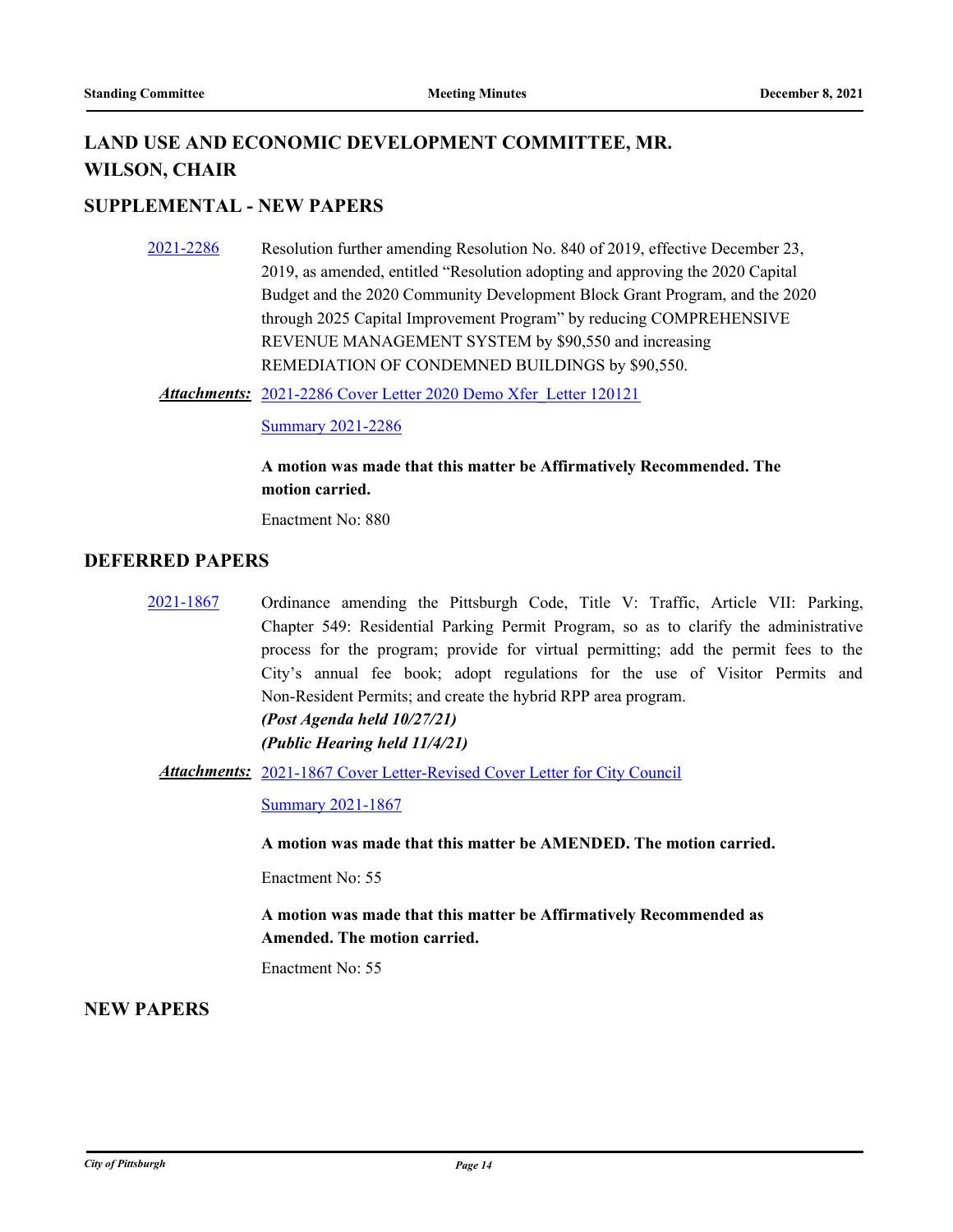# **LAND USE AND ECONOMIC DEVELOPMENT COMMITTEE, MR. WILSON, CHAIR**

### **SUPPLEMENTAL - NEW PAPERS**

- [2021-2286](http://pittsburgh.legistar.com/gateway.aspx?m=l&id=/matter.aspx?key=27188) Resolution further amending Resolution No. 840 of 2019, effective December 23, 2019, as amended, entitled "Resolution adopting and approving the 2020 Capital Budget and the 2020 Community Development Block Grant Program, and the 2020 through 2025 Capital Improvement Program" by reducing COMPREHENSIVE REVENUE MANAGEMENT SYSTEM by \$90,550 and increasing REMEDIATION OF CONDEMNED BUILDINGS by \$90,550.
	- [2021-2286 Cover Letter 2020 Demo Xfer\\_Letter 120121](http://pittsburgh.legistar.com/gateway.aspx?M=F&ID=83cb3db8-82f9-4a26-ab4c-32affc2f1b5f.docx) *Attachments:*

[Summary 2021-2286](http://pittsburgh.legistar.com/gateway.aspx?M=F&ID=fce435f6-19f1-4712-8511-a11d0cd8c0f2.docx)

### **A motion was made that this matter be Affirmatively Recommended. The motion carried.**

Enactment No: 880

#### **DEFERRED PAPERS**

- [2021-1867](http://pittsburgh.legistar.com/gateway.aspx?m=l&id=/matter.aspx?key=26737) Ordinance amending the Pittsburgh Code, Title V: Traffic, Article VII: Parking, Chapter 549: Residential Parking Permit Program, so as to clarify the administrative process for the program; provide for virtual permitting; add the permit fees to the City's annual fee book; adopt regulations for the use of Visitor Permits and Non-Resident Permits; and create the hybrid RPP area program. *(Post Agenda held 10/27/21) (Public Hearing held 11/4/21)*
	- Attachments: [2021-1867 Cover Letter-Revised Cover Letter for City Council](http://pittsburgh.legistar.com/gateway.aspx?M=F&ID=e5ebc061-e02f-4a11-a98f-e21f16e1fb0a.docx)

[Summary 2021-1867](http://pittsburgh.legistar.com/gateway.aspx?M=F&ID=6b56a2a2-45b9-4098-affa-ed66cdd9661c.docx)

**A motion was made that this matter be AMENDED. The motion carried.**

Enactment No: 55

**A motion was made that this matter be Affirmatively Recommended as Amended. The motion carried.**

Enactment No: 55

### **NEW PAPERS**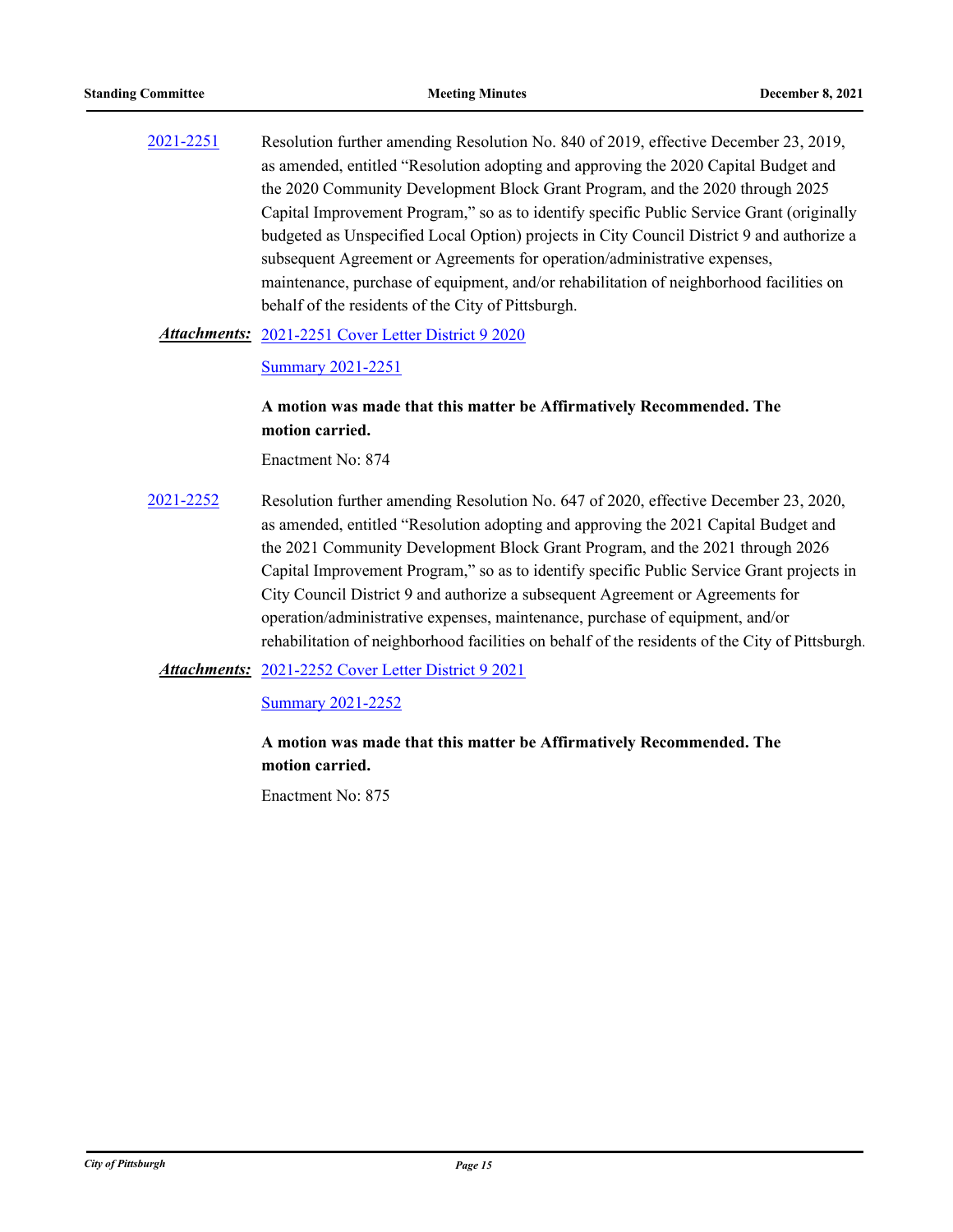[2021-2251](http://pittsburgh.legistar.com/gateway.aspx?m=l&id=/matter.aspx?key=27153) Resolution further amending Resolution No. 840 of 2019, effective December 23, 2019, as amended, entitled "Resolution adopting and approving the 2020 Capital Budget and the 2020 Community Development Block Grant Program, and the 2020 through 2025 Capital Improvement Program," so as to identify specific Public Service Grant (originally budgeted as Unspecified Local Option) projects in City Council District 9 and authorize a subsequent Agreement or Agreements for operation/administrative expenses, maintenance, purchase of equipment, and/or rehabilitation of neighborhood facilities on behalf of the residents of the City of Pittsburgh.

#### [2021-2251 Cover Letter District 9 2020](http://pittsburgh.legistar.com/gateway.aspx?M=F&ID=5183da28-b72d-4e70-b63d-59fc593be319.docx) *Attachments:*

#### **[Summary 2021-2251](http://pittsburgh.legistar.com/gateway.aspx?M=F&ID=562a11f4-3386-4a35-9328-b6b46f533ba2.docx)**

### **A motion was made that this matter be Affirmatively Recommended. The motion carried.**

Enactment No: 874

[2021-2252](http://pittsburgh.legistar.com/gateway.aspx?m=l&id=/matter.aspx?key=27154) Resolution further amending Resolution No. 647 of 2020, effective December 23, 2020, as amended, entitled "Resolution adopting and approving the 2021 Capital Budget and the 2021 Community Development Block Grant Program, and the 2021 through 2026 Capital Improvement Program," so as to identify specific Public Service Grant projects in City Council District 9 and authorize a subsequent Agreement or Agreements for operation/administrative expenses, maintenance, purchase of equipment, and/or rehabilitation of neighborhood facilities on behalf of the residents of the City of Pittsburgh.

Attachments: [2021-2252 Cover Letter District 9 2021](http://pittsburgh.legistar.com/gateway.aspx?M=F&ID=681f5dca-35fc-478b-a4d2-e76826ba9ecc.docx)

#### [Summary 2021-2252](http://pittsburgh.legistar.com/gateway.aspx?M=F&ID=8e8b9fe8-80d4-443b-9a45-cb9da90bb786.docx)

### **A motion was made that this matter be Affirmatively Recommended. The motion carried.**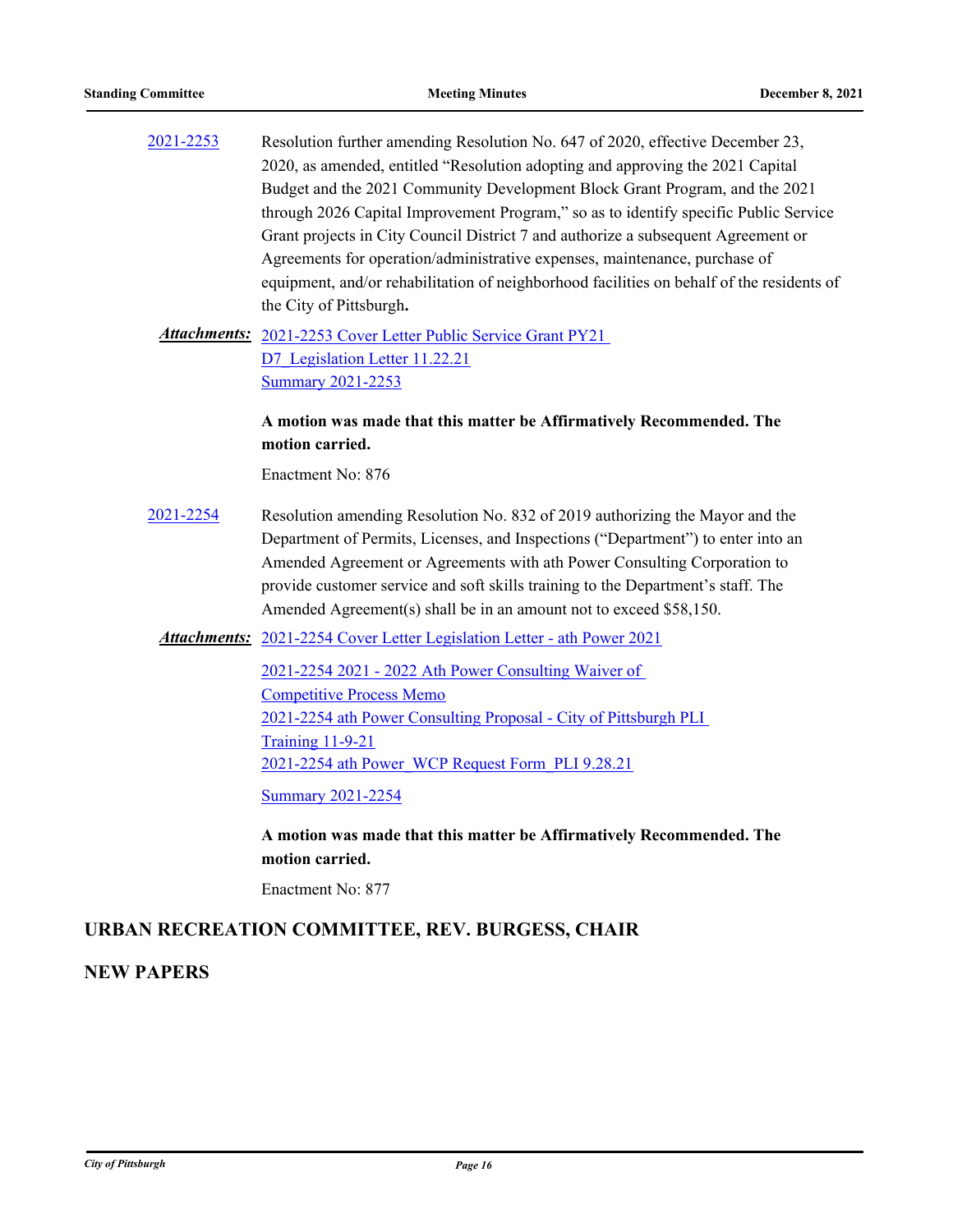[2021-2253](http://pittsburgh.legistar.com/gateway.aspx?m=l&id=/matter.aspx?key=27155) Resolution further amending Resolution No. 647 of 2020, effective December 23, 2020, as amended, entitled "Resolution adopting and approving the 2021 Capital Budget and the 2021 Community Development Block Grant Program, and the 2021 through 2026 Capital Improvement Program," so as to identify specific Public Service Grant projects in City Council District 7 and authorize a subsequent Agreement or Agreements for operation/administrative expenses, maintenance, purchase of equipment, and/or rehabilitation of neighborhood facilities on behalf of the residents of the City of Pittsburgh**.**

Attachments: 2021-2253 Cover Letter Public Service Grant PY21 D7 Legislation Letter 11.22.21 [Summary 2021-2253](http://pittsburgh.legistar.com/gateway.aspx?M=F&ID=ba35d1e4-eb37-40ac-a116-38c6158a41b7.docx)

### **A motion was made that this matter be Affirmatively Recommended. The motion carried.**

Enactment No: 876

[2021-2254](http://pittsburgh.legistar.com/gateway.aspx?m=l&id=/matter.aspx?key=27156) Resolution amending Resolution No. 832 of 2019 authorizing the Mayor and the Department of Permits, Licenses, and Inspections ("Department") to enter into an Amended Agreement or Agreements with ath Power Consulting Corporation to provide customer service and soft skills training to the Department's staff. The Amended Agreement(s) shall be in an amount not to exceed \$58,150.

### Attachments: [2021-2254 Cover Letter Legislation Letter - ath Power 2021](http://pittsburgh.legistar.com/gateway.aspx?M=F&ID=82ab3602-458a-47ad-8214-89128aa8d0e3.docx)

[2021-2254 2021 - 2022 Ath Power Consulting Waiver of](http://pittsburgh.legistar.com/gateway.aspx?M=F&ID=6c087c5a-46c5-4b5e-9a46-024bcffdc539.pdf)  Competitive Process Memo [2021-2254 ath Power Consulting Proposal - City of Pittsburgh PLI](http://pittsburgh.legistar.com/gateway.aspx?M=F&ID=6f9cc280-33cb-4f0a-83b5-ab77c9cd0522.pdf)  Training 11-9-21 [2021-2254 ath Power\\_WCP Request Form\\_PLI 9.28.21](http://pittsburgh.legistar.com/gateway.aspx?M=F&ID=eefd8bef-62c8-4fbe-a0a4-b2064de17027.pdf)

[Summary 2021-2254](http://pittsburgh.legistar.com/gateway.aspx?M=F&ID=a32d6869-15a0-4097-b08f-437b24bbafd9.docx)

**A motion was made that this matter be Affirmatively Recommended. The motion carried.**

Enactment No: 877

### **URBAN RECREATION COMMITTEE, REV. BURGESS, CHAIR**

### **NEW PAPERS**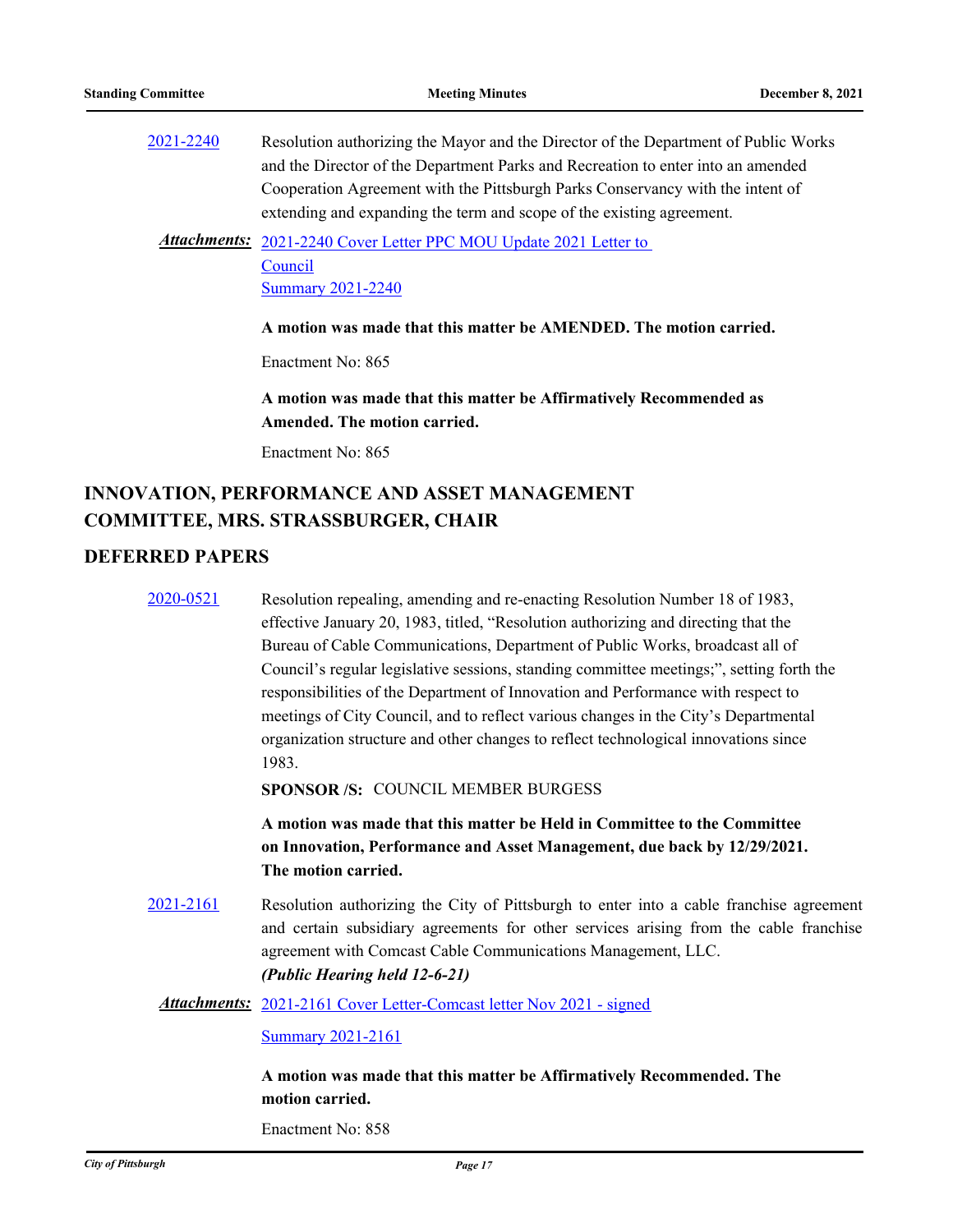[2021-2240](http://pittsburgh.legistar.com/gateway.aspx?m=l&id=/matter.aspx?key=27142) Resolution authorizing the Mayor and the Director of the Department of Public Works and the Director of the Department Parks and Recreation to enter into an amended Cooperation Agreement with the Pittsburgh Parks Conservancy with the intent of extending and expanding the term and scope of the existing agreement.

Attachments: 2021-2240 Cover Letter PPC MOU Update 2021 Letter to Council **[Summary 2021-2240](http://pittsburgh.legistar.com/gateway.aspx?M=F&ID=5d705ca5-cd3a-4ab6-988d-d9d7d6657b29.docx)** 

#### **A motion was made that this matter be AMENDED. The motion carried.**

Enactment No: 865

**A motion was made that this matter be Affirmatively Recommended as Amended. The motion carried.**

Enactment No: 865

## **INNOVATION, PERFORMANCE AND ASSET MANAGEMENT COMMITTEE, MRS. STRASSBURGER, CHAIR**

### **DEFERRED PAPERS**

|           | A motion was made that this matter be Affirmatively Recommended. The                                                                                                                                                                                                              |
|-----------|-----------------------------------------------------------------------------------------------------------------------------------------------------------------------------------------------------------------------------------------------------------------------------------|
|           | <b>Summary 2021-2161</b>                                                                                                                                                                                                                                                          |
|           | <b>Attachments:</b> 2021-2161 Cover Letter-Comcast letter Nov 2021 - signed                                                                                                                                                                                                       |
| 2021-2161 | Resolution authorizing the City of Pittsburgh to enter into a cable franchise agreement<br>and certain subsidiary agreements for other services arising from the cable franchise<br>agreement with Comcast Cable Communications Management, LLC.<br>(Public Hearing held 12-6-21) |
|           | A motion was made that this matter be Held in Committee to the Committee<br>on Innovation, Performance and Asset Management, due back by 12/29/2021.<br>The motion carried.                                                                                                       |
|           | SPONSOR /S: COUNCIL MEMBER BURGESS                                                                                                                                                                                                                                                |
|           | 1983.                                                                                                                                                                                                                                                                             |
|           | meetings of City Council, and to reflect various changes in the City's Departmental<br>organization structure and other changes to reflect technological innovations since                                                                                                        |
|           | responsibilities of the Department of Innovation and Performance with respect to                                                                                                                                                                                                  |
|           | Bureau of Cable Communications, Department of Public Works, broadcast all of<br>Council's regular legislative sessions, standing committee meetings;", setting forth the                                                                                                          |
|           | effective January 20, 1983, titled, "Resolution authorizing and directing that the                                                                                                                                                                                                |
| 2020-0521 | Resolution repealing, amending and re-enacting Resolution Number 18 of 1983,                                                                                                                                                                                                      |

**motion carried.**